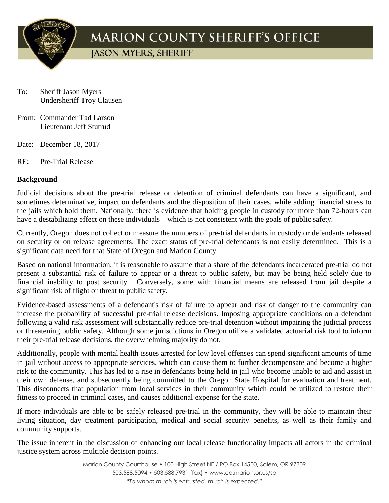

## **MARION COUNTY SHERIFF'S OFFICE**

**IASON MYERS, SHERIFF** 

- To: Sheriff Jason Myers Undersheriff Troy Clausen
- From: Commander Tad Larson Lieutenant Jeff Stutrud
- Date: December 18, 2017
- RE: Pre-Trial Release

## **Background**

Judicial decisions about the pre-trial release or detention of criminal defendants can have a significant, and sometimes determinative, impact on defendants and the disposition of their cases, while adding financial stress to the jails which hold them. Nationally, there is evidence that holding people in custody for more than 72-hours can have a destabilizing effect on these individuals—which is not consistent with the goals of public safety.

Currently, Oregon does not collect or measure the numbers of pre-trial defendants in custody or defendants released on security or on release agreements. The exact status of pre-trial defendants is not easily determined. This is a significant data need for that State of Oregon and Marion County.

Based on national information, it is reasonable to assume that a share of the defendants incarcerated pre-trial do not present a substantial risk of failure to appear or a threat to public safety, but may be being held solely due to financial inability to post security. Conversely, some with financial means are released from jail despite a significant risk of flight or threat to public safety.

Evidence-based assessments of a defendant's risk of failure to appear and risk of danger to the community can increase the probability of successful pre-trial release decisions. Imposing appropriate conditions on a defendant following a valid risk assessment will substantially reduce pre-trial detention without impairing the judicial process or threatening public safety. Although some jurisdictions in Oregon utilize a validated actuarial risk tool to inform their pre-trial release decisions, the overwhelming majority do not.

Additionally, people with mental health issues arrested for low level offenses can spend significant amounts of time in jail without access to appropriate services, which can cause them to further decompensate and become a higher risk to the community. This has led to a rise in defendants being held in jail who become unable to aid and assist in their own defense, and subsequently being committed to the Oregon State Hospital for evaluation and treatment. This disconnects that population from local services in their community which could be utilized to restore their fitness to proceed in criminal cases, and causes additional expense for the state.

If more individuals are able to be safely released pre-trial in the community, they will be able to maintain their living situation, day treatment participation, medical and social security benefits, as well as their family and community supports.

The issue inherent in the discussion of enhancing our local release functionality impacts all actors in the criminal justice system across multiple decision points.